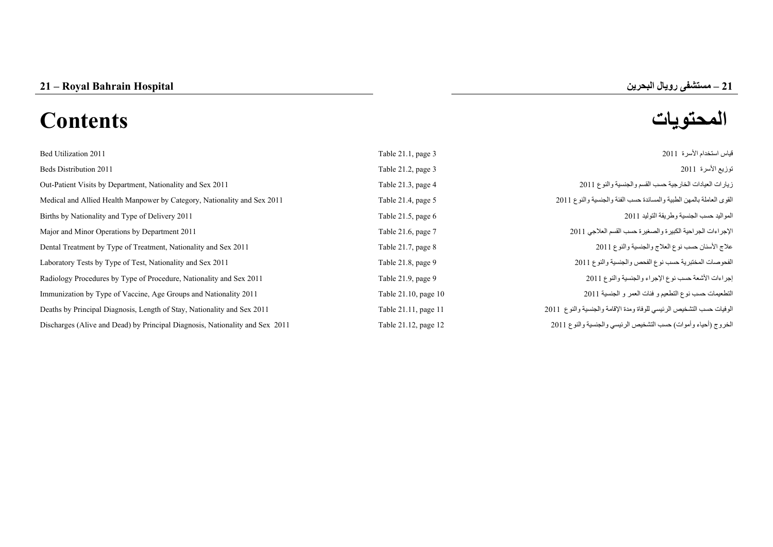**–**

# **المحتويات Contents**

| Bed Utilization 2011                                                         | Table 21.1, page 3   | قياس استخدام الأسرة 2011                                             |
|------------------------------------------------------------------------------|----------------------|----------------------------------------------------------------------|
| Beds Distribution 2011                                                       | Table 21.2, page 3   | توزيع الأسرة 2011                                                    |
| Out-Patient Visits by Department, Nationality and Sex 2011                   | Table 21.3, page 4   | زيارات العيادات الخارجية حسب القسم والجنسية والنوع 2011              |
| Medical and Allied Health Manpower by Category, Nationality and Sex 2011     | Table 21.4, page 5   | القوى العاملة بالمهن الطبية والمساندة حسب الفئة والجنسية والنوع 2011 |
| Births by Nationality and Type of Delivery 2011                              | Table 21.5, page 6   | المواليد حسب الجنسية وطريقة التوليد 2011                             |
| Major and Minor Operations by Department 2011                                | Table 21.6, page 7   | الإجراءات الجراحية الكبيرة والصغيرة حسب القسم العلاجي 2011           |
| Dental Treatment by Type of Treatment, Nationality and Sex 2011              | Table 21.7, page 8   | علاج الأسنان حسب نوع العلاج والجنسية والنوع 2011                     |
| Laboratory Tests by Type of Test, Nationality and Sex 2011                   | Table 21.8, page 9   | الفحوصات المختبرية حسب نوع الفحص والجنسية والنوع 2011                |
| Radiology Procedures by Type of Procedure, Nationality and Sex 2011          | Table 21.9, page 9   | إجراءات الأشعة حسب نوع الإجراء والجنسية والنوع 2011                  |
| Immunization by Type of Vaccine, Age Groups and Nationality 2011             | Table 21.10, page 10 | التطعيمات حسب نوع التطعيم و فئات العمر و الجنسية 2011                |
| Deaths by Principal Diagnosis, Length of Stay, Nationality and Sex 2011      | Table 21.11, page 11 | الوفيات حسب التشخيص الرئيسي للوفاة ومدة الإقامة والجنسية والنوع 2011 |
| Discharges (Alive and Dead) by Principal Diagnosis, Nationality and Sex 2011 | Table 21.12, page 12 | الخروج (أحياء وأموات) حسب التشخيص الرئيسي والجنسية والنوع 2011       |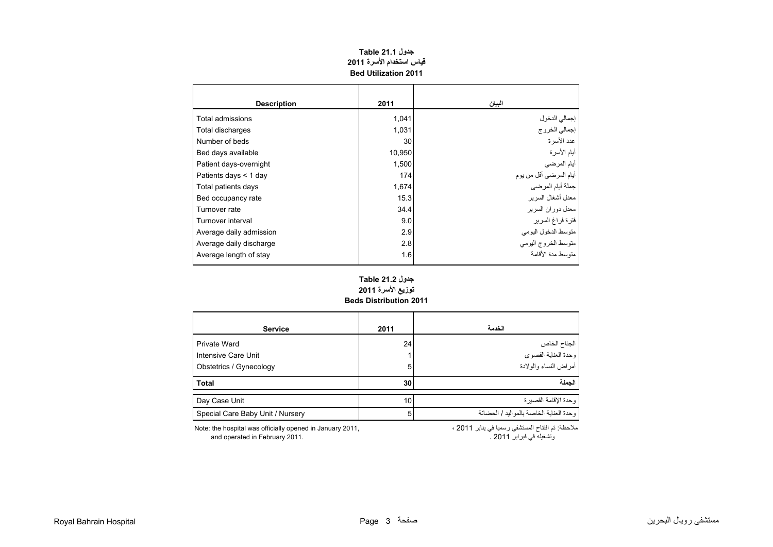| جدول Table 21.1 |                             |  |  |  |  |  |  |  |  |
|-----------------|-----------------------------|--|--|--|--|--|--|--|--|
|                 | قياس استخدام الأسرة 2011    |  |  |  |  |  |  |  |  |
|                 | <b>Bed Utilization 2011</b> |  |  |  |  |  |  |  |  |

<span id="page-1-0"></span>

| <b>Description</b>      | 2011   | البيان                  |
|-------------------------|--------|-------------------------|
| Total admissions        | 1,041  | إجمالي الدخول           |
| Total discharges        | 1,031  | إجمالي الخروج           |
| Number of beds          | 30     | عدد الأسر ة             |
| Bed days available      | 10,950 | أيام الأسرة             |
| Patient days-overnight  | 1,500  | أيام المرضى             |
| Patients days < 1 day   | 174    | أيام المرضىي أقل من يوم |
| Total patients days     | 1,674  | جملة أيام المرضي        |
| Bed occupancy rate      | 15.3   | معدل أشغال السرير       |
| Turnover rate           | 34.4   | معدل دور ان السر بر     |
| Turnover interval       | 9.0    | فترة فراغ السرير        |
| Average daily admission | 2.9    | متوسط الدخول اليومي     |
| Average daily discharge | 2.8    | متوسط الخروج اليومي     |
| Average length of stay  | 1.6    | منّه سط مدة الأقامة     |

#### **Beds Distribution 2011 جدول 21.2 Table توزيع األسرة <sup>2011</sup>**

| <b>Service</b>                   | 2011            | الخدمة                                    |
|----------------------------------|-----------------|-------------------------------------------|
| Private Ward                     | 24 <sub>1</sub> | الجناح الخاص                              |
| Intensive Care Unit              |                 | وحدة العناية القصوى                       |
| Obstetrics / Gynecology          | 5               | أمر اض النساء والو لادة                   |
| <b>Total</b>                     | 30              | الحملة                                    |
| Day Case Unit                    | 10 <sup>1</sup> | وحدة الإقامة القصير ة                     |
| Special Care Baby Unit / Nursery | 5 <sub>1</sub>  | و حدة العناية الخاصة بالمو اليد / الحضانة |

Note: the hospital was officially opened in January 2011, and operated in February 2011. . 2011 فبراير في وتشغيله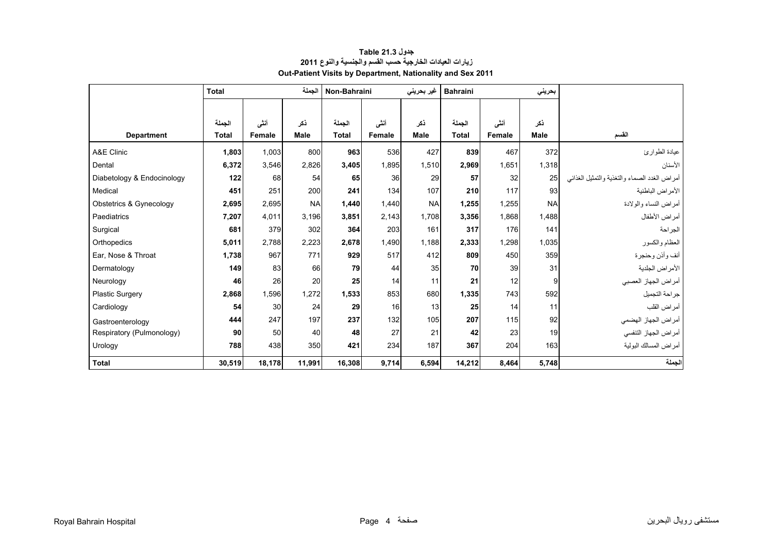<span id="page-2-0"></span>

|                            | <b>Total</b> |        | الحملة      | Non-Bahraini |        | غیر بحرینی  | <b>Bahraini</b> |               | بحريني    |                                               |
|----------------------------|--------------|--------|-------------|--------------|--------|-------------|-----------------|---------------|-----------|-----------------------------------------------|
|                            |              |        |             |              |        |             |                 |               |           |                                               |
|                            | الجملة       | أننى   | ذكر         | الجملة       | أننى   | ذكر         | الجملة          | أنشى          | نكر       |                                               |
| <b>Department</b>          | <b>Total</b> | Female | <b>Male</b> | <b>Total</b> | Female | <b>Male</b> | <b>Total</b>    | <b>Female</b> | Male      | القسم                                         |
| A&E Clinic                 | 1,803        | 1,003  | 800         | 963          | 536    | 427         | 839             | 467           | 372       | عيادة الطوارئ                                 |
| Dental                     | 6,372        | 3,546  | 2,826       | 3,405        | 1,895  | 1,510       | 2,969           | 1,651         | 1,318     | الأسنان                                       |
| Diabetology & Endocinology | 122          | 68     | 54          | 65           | 36     | 29          | 57              | 32            | 25        | أمراض الغدد الصماء والتغذية والتمثيل الغذائبي |
| Medical                    | 451          | 251    | 200         | 241          | 134    | 107         | 210             | 117           | 93        | الأمراض الباطنية                              |
| Obstetrics & Gynecology    | 2,695        | 2,695  | <b>NA</b>   | 1.440        | 1.440  | <b>NA</b>   | 1,255           | 1,255         | <b>NA</b> | أمراض النساء والولادة                         |
| Paediatrics                | 7,207        | 4,011  | 3,196       | 3,851        | 2,143  | 1,708       | 3,356           | 1,868         | 1,488     | أمراض الأطفال                                 |
| Surgical                   | 681          | 379    | 302         | 364          | 203    | 161         | 317             | 176           | 141       | الجراحة                                       |
| Orthopedics                | 5,011        | 2,788  | 2,223       | 2,678        | 1,490  | 1,188       | 2,333           | 1,298         | 1,035     | العظام والكسور                                |
| Ear, Nose & Throat         | 1,738        | 967    | 771         | 929          | 517    | 412         | 809             | 450           | 359       | أنف وأذن وحنجرة                               |
| Dermatology                | 149          | 83     | 66          | 79           | 44     | 35          | 70              | 39            | 31        | الأمراض الجلدية                               |
| Neurology                  | 46           | 26     | 20          | 25           | 14     | 11          | 21              | 12            | 9         | أمراض الجهاز العصبي                           |
| <b>Plastic Surgery</b>     | 2,868        | 1,596  | 1,272       | 1,533        | 853    | 680         | 1,335           | 743           | 592       | جراحة التجميل                                 |
| Cardiology                 | 54           | 30     | 24          | 29           | 16     | 13          | 25              | 14            | 11        | أمراض القلب                                   |
| Gastroenterology           | 444          | 247    | 197         | 237          | 132    | 105         | 207             | 115           | 92        | أمراض الجهاز الهضمي                           |
| Respiratory (Pulmonology)  | 90           | 50     | 40          | 48           | 27     | 21          | 42              | 23            | 19        | أمراض الجهاز التنفسي                          |
| Urology                    | 788          | 438    | 350         | 421          | 234    | 187         | 367             | 204           | 163       | أمراض المسالك البولية                         |
| <b>Total</b>               | 30,519       | 18,178 | 11,991      | 16,308       | 9,714  | 6,594       | 14,212          | 8,464         | 5,748     | الجملة                                        |

## **جدول 21.3 Table زيارات العيادات الخارجية حسب القسم والجنسية والنوع <sup>2011</sup> Out-Patient Visits by Department, Nationality and Sex 2011**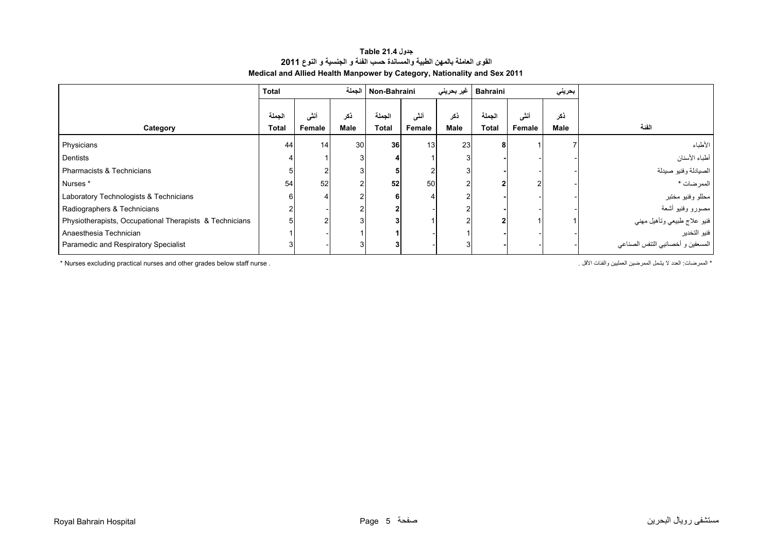## **جدول 21.4 Table القوى العاملة بالمھن الطبية والمساندة حسب الفئة <sup>و</sup> الجنسية <sup>و</sup> النوع<sup>2011</sup> Medical and Allied Health Manpower by Category, Nationality and Sex 2011**

<span id="page-3-0"></span>

|                                                         | <b>Total</b> |                 |             | Non-Bahraini   الجملة |                 | غیر بحرینی | <b>Bahraini</b> |        | بحريني |                                   |
|---------------------------------------------------------|--------------|-----------------|-------------|-----------------------|-----------------|------------|-----------------|--------|--------|-----------------------------------|
|                                                         | الحملة       | أنشى            | ڏکر         | الجملة                | أنشى            | ذكر        | الجملة          | أنشى   | ذكر    |                                   |
| Category                                                | <b>Total</b> | Female          | <b>Male</b> | Total                 | Female          | Male       | Total           | Female | Male   | الفئة                             |
| Physicians                                              | 44           | 14 <sub>1</sub> | 30          | 36 <sup>1</sup>       | 13 <sup>1</sup> | 23         |                 |        |        | الأطباء                           |
| Dentists                                                |              |                 |             |                       |                 |            |                 |        |        | أطباء الأسنان                     |
| Pharmacists & Technicians                               |              |                 |             |                       |                 |            |                 |        |        | الصيادلة وفنيو صيدلة              |
| Nurses *                                                | 54           | 52              |             | 52                    | 50 <sub>1</sub> |            |                 |        |        | الممر ضات *                       |
| Laboratory Technologists & Technicians                  | 6            |                 |             |                       |                 |            |                 |        |        | مطلو وفنيو مختبر                  |
| Radiographers & Technicians                             | 2            |                 |             |                       |                 |            |                 |        |        | مصورو وفنيو أشعة                  |
| Physiotherapists, Occupational Therapists & Technicians |              |                 |             |                       |                 |            |                 |        |        | فنيو علاج طبيعي وتأهيل مهني       |
| Anaesthesia Technician                                  |              |                 |             |                       |                 |            |                 |        |        | فنيو التخدير                      |
| Paramedic and Respiratory Specialist                    |              |                 |             |                       |                 |            |                 |        |        | المسعفين و أخصائيي التنفس الصناعي |

\* Nurses excluding practical nurses and other grades below staff nurse . . األقل والفئات العمليين الممرضين يشمل ال العدد :الممرضات\*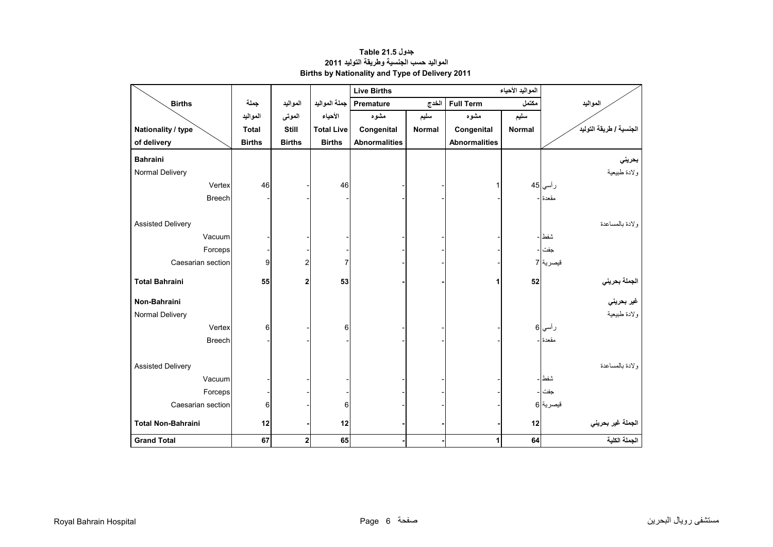<span id="page-4-0"></span>

|                           |               |                         |                   | <b>Live Births</b>   |               |                      |               |                                    |
|---------------------------|---------------|-------------------------|-------------------|----------------------|---------------|----------------------|---------------|------------------------------------|
| <b>Births</b>             | جملة          | المواليد                | جملة المواليد     | <b>Premature</b>     | الخدج         | <b>Full Term</b>     | مكتمل         | المواليد                           |
|                           | المواليد      | الموتى                  | الأحياء           | مشوه                 | سليم          | مشوه                 | سليم          |                                    |
| Nationality / type        | <b>Total</b>  | Still                   | <b>Total Live</b> | Congenital           | <b>Normal</b> | Congenital           | <b>Normal</b> | الجنسية / طريقة التوليد            |
| of delivery               | <b>Births</b> | <b>Births</b>           | <b>Births</b>     | <b>Abnormalities</b> |               | <b>Abnormalities</b> |               |                                    |
| <b>Bahraini</b>           |               |                         |                   |                      |               |                      |               | بحريني                             |
| Normal Delivery           |               |                         |                   |                      |               |                      |               | ولادة طبيعية                       |
| Vertex                    | 46            |                         | 46                |                      |               |                      |               | ر أسي 45                           |
| <b>Breech</b>             |               |                         |                   |                      |               |                      |               | مقعدة                              |
|                           |               |                         |                   |                      |               |                      |               |                                    |
| <b>Assisted Delivery</b>  |               |                         |                   |                      |               |                      |               | ولادة بالمساعدة                    |
| Vacuum                    |               |                         |                   |                      |               |                      |               | شفط                                |
| Forceps                   |               |                         |                   |                      |               |                      |               | جفت                                |
| Caesarian section         | 9             | $\overline{\mathbf{c}}$ | $\overline{7}$    |                      |               |                      |               | قيصرية  7                          |
| <b>Total Bahraini</b>     | 55            | $\overline{2}$          | 53                |                      |               | 1                    | 52            |                                    |
|                           |               |                         |                   |                      |               |                      |               | ا <mark>لجملة بحرين<i>ي</i></mark> |
| Non-Bahraini              |               |                         |                   |                      |               |                      |               | غير بحرين <i>ي</i>                 |
| Normal Delivery           |               |                         |                   |                      |               |                      |               | ولادة طبيعية                       |
| Vertex                    | 6             |                         | 6                 |                      |               |                      |               | ر أسي 6                            |
| <b>Breech</b>             |               |                         |                   |                      |               |                      |               | مقعدة ا-                           |
|                           |               |                         |                   |                      |               |                      |               |                                    |
| <b>Assisted Delivery</b>  |               |                         |                   |                      |               |                      |               | ولادة بالمساعدة                    |
| Vacuum                    |               |                         |                   |                      |               |                      |               | شفط                                |
| Forceps                   |               |                         |                   |                      |               |                      |               | جفت                                |
| Caesarian section         | 6             |                         | 6                 |                      |               |                      |               | قيصرية 6                           |
| <b>Total Non-Bahraini</b> | 12            |                         | 12                |                      |               |                      | 12            | الجملة غير بحريني                  |
| <b>Grand Total</b>        | 67            | $\overline{\mathbf{c}}$ | 65                |                      |               | 1                    | 64            | الجملة الكلية                      |

**جدول 21.5 Table المواليد حسب الجنسية وطريقة التوليد <sup>2011</sup> Births by Nationality and Type of Delivery 2011**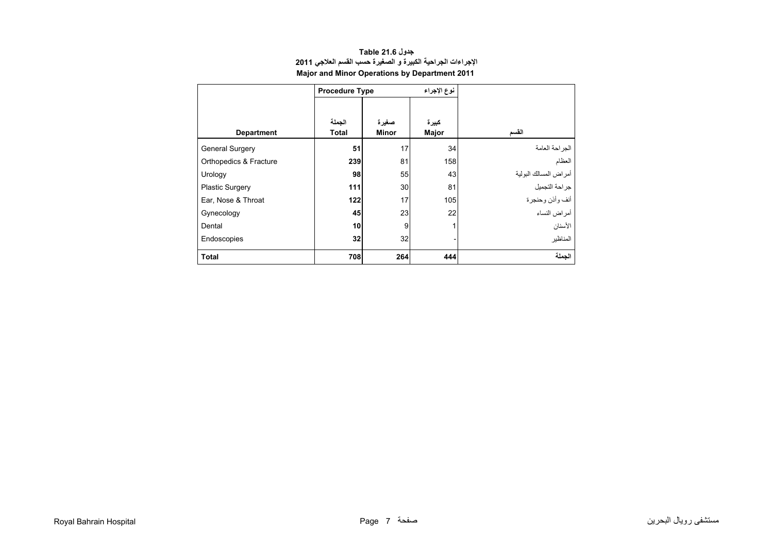<span id="page-5-0"></span>

|                        | <b>Procedure Type</b>  |                       | نوع الإجراء    |                       |  |  |
|------------------------|------------------------|-----------------------|----------------|-----------------------|--|--|
| <b>Department</b>      | الجملة<br><b>Total</b> | صغيرة<br><b>Minor</b> | كبيرة<br>Major | القسم                 |  |  |
| <b>General Surgery</b> | 51                     | 17                    | 34             | الجراحة العامة        |  |  |
| Orthopedics & Fracture | 239                    | 81                    | 158            | العظام                |  |  |
| Urology                | 98                     | 55                    | 43             | أمراض المسالك البولية |  |  |
| <b>Plastic Surgery</b> | 111                    | 30                    | 81             | جراحة التجميل         |  |  |
| Ear, Nose & Throat     | 122                    | 17                    | 105            | أنف وأذن وحنجرة       |  |  |
| Gynecology             | 45                     | 23                    | 22             | أمر اض النساء         |  |  |
| Dental                 | 10                     | 9                     |                | الأسنان               |  |  |
| Endoscopies            | 32                     | 32                    |                | المناظبر              |  |  |
| <b>Total</b>           | 708                    | 264                   | 444            | الجملة                |  |  |

# **جدول 21.6 Table اإلجراءات الجراحية الكبيرة <sup>و</sup> الصغيرة حسب القسم العالجي <sup>2011</sup> Major and Minor Operations by Department 2011**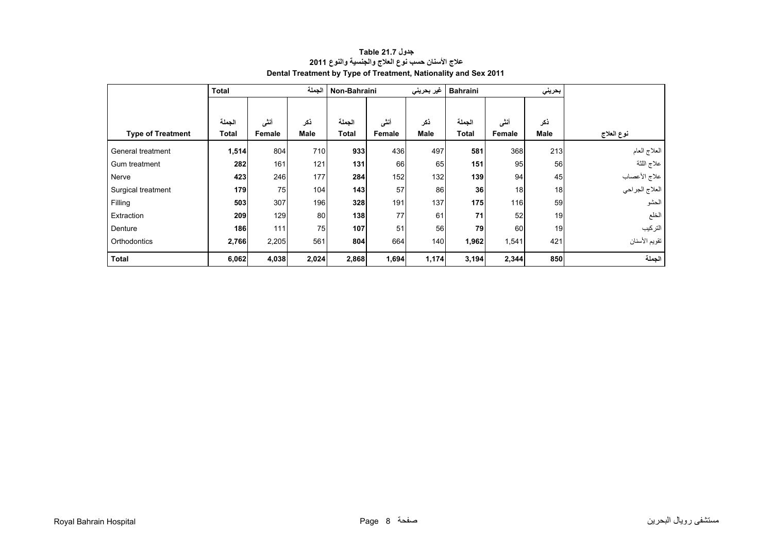<span id="page-6-0"></span>

|                          | <b>Total</b> |        | الجملة      | Non-Bahraini |        | غير بحريني | <b>Bahraini</b> |        | بحريني      |                |
|--------------------------|--------------|--------|-------------|--------------|--------|------------|-----------------|--------|-------------|----------------|
|                          |              |        |             |              |        |            |                 |        |             |                |
|                          | الجملة       | أننى   | نكر         | الجملة       | أننى   | ذكر        | الجملة          | أننى   | ذكر         |                |
| <b>Type of Treatment</b> | Total        | Female | <b>Male</b> | <b>Total</b> | Female | Male       | <b>Total</b>    | Female | <b>Male</b> | نوع العلاج     |
| General treatment        | 1,514        | 804    | 710         | 933          | 436    | 497        | 581             | 368    | 213         | العلاج العام   |
| Gum treatment            | 282          | 161    | 121         | 131          | 66     | 65         | 151             | 95     | 56          | علاج اللثة     |
| Nerve                    | 423          | 246    | 177         | 284          | 152    | 132        | 139             | 94     | 45          | علاج الأعصاب   |
| Surgical treatment       | 179          | 75     | 104         | 143          | 57     | 86         | 36              | 18     | 18          | العلاج الجراحي |
| Filling                  | 503          | 307    | 196         | 328          | 191    | 137        | 175             | 116    | 59          | الحشو          |
| Extraction               | 209          | 129    | 80          | 138          | 77     | 61         | 71              | 52     | 19          | الخلع          |
| Denture                  | 186          | 111    | 75          | 107          | 51     | 56         | 79              | 60     | 19          | التركيب        |
| Orthodontics             | 2,766        | 2,205  | 561         | 804          | 664    | 140        | 1,962           | 1,541  | 421         | تقويم الأسنان  |
| <b>Total</b>             | 6,062        | 4,038  | 2,024       | 2,868        | 1,694  | 1,174      | 3,194           | 2,344  | 850         | الجملة         |

# **جدول 21.7 Table عالج األسنان حسب نوع العالج والجنسية والنوع <sup>2011</sup> Dental Treatment by Type of Treatment, Nationality and Sex 2011**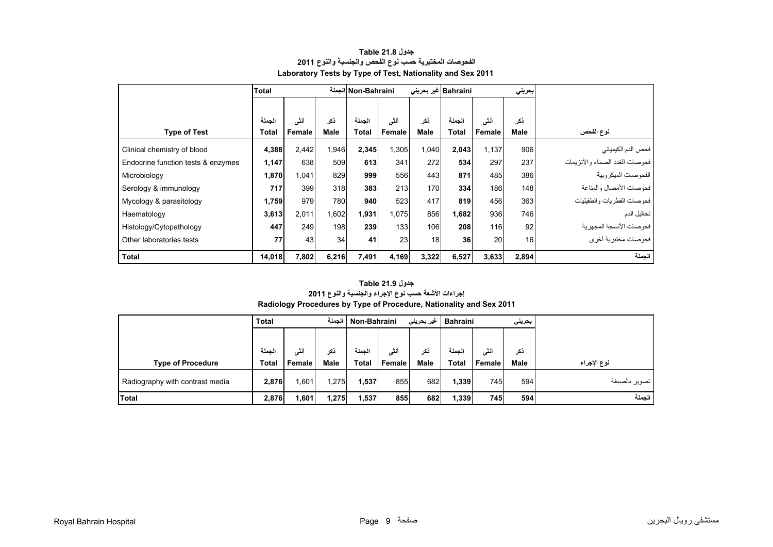<span id="page-7-0"></span>

|                                    | Total        |               |       | الجملة Non-Bahraini |               |       | Bahraini غیر بحرینی |               | بحريني |                                |
|------------------------------------|--------------|---------------|-------|---------------------|---------------|-------|---------------------|---------------|--------|--------------------------------|
|                                    |              |               |       |                     |               |       |                     |               |        |                                |
|                                    | الحملة       | أنشى          | ذكر   | الحملة              | أنشى          | نكر   | الحملة              | أنشى          | ذكر    |                                |
| <b>Type of Test</b>                | <b>Total</b> | <b>Female</b> | Male  | <b>Total</b>        | <b>Female</b> | Male  | Total               | <b>Female</b> | Male   | نوع الفحص                      |
| Clinical chemistry of blood        | 4,388        | 2,442         | 1,946 | 2,345               | 1,305         | 1,040 | 2,043               | 1.137         | 906    | فحص الدم الكيميائي             |
| Endocrine function tests & enzymes | 1,147        | 638           | 509   | 613                 | 341           | 272   | 534                 | 297           | 237    | فحوصات الغدد الصماء والأنزيمات |
| Microbiology                       | 1,870        | 1,041         | 829   | 999                 | 556           | 443   | 871                 | 485           | 386    | الفحو صبات الميكر وبية         |
| Serology & immunology              | 717          | 399           | 318   | 383                 | 213           | 170   | 334                 | 186           | 148    | فحو صبات الأمصيال والمناعة     |
| Mycology & parasitology            | 1,759        | 979           | 780   | 940                 | 523           | 417   | 819                 | 456           | 363    | فحوصات الفطريات والطفيليات     |
| Haematology                        | 3,613        | 2,011         | 1,602 | 1,931               | 1,075         | 856   | 1,682               | 936           | 746    | تحاليل الدم                    |
| Histology/Cytopathology            | 447          | 249           | 198   | 239                 | 133           | 106   | 208                 | 116           | 92     | فحو صبات الأنسجة المجهر بة     |
| Other laboratories tests           | 77           | 43            | 34    | 41                  | 23            | 18    | 36                  | 20            | 16     | فحوصات مختبرية أخرى            |
| <b>Total</b>                       | 14,018       | 7,802         | 6,216 | 7,491               | 4,169         | 3,322 | 6,527               | 3,633         | 2,894  | الجملة                         |

#### **جدول 21.8 Table الفحوصات المختبرية حسب نوع الفحص والجنسية والنوع <sup>2011</sup> Laboratory Tests by Type of Test, Nationality and Sex 2011**

#### **Radiology Procedures by Type of Procedure, Nationality and Sex 2011 جدول 21.9 Table إجراءات األشعة حسب نوع اإلجراء والجنسية والنوع <sup>2011</sup>**

|                                 | <b>Total</b> |        | الجملة<br>Non-Bahraini |              |        | غیر بحرینی<br><b>Bahraini</b> |              | بحرينى |             |               |
|---------------------------------|--------------|--------|------------------------|--------------|--------|-------------------------------|--------------|--------|-------------|---------------|
|                                 |              |        |                        |              |        |                               |              |        |             |               |
|                                 | لحملة        | أنشى   | ذكر                    | الحملة       | أننسى  | ذكر                           | الحملة       | أنشى   | نكر         |               |
| <b>Type of Procedure</b>        | <b>Total</b> | Female | <b>Male</b>            | <b>Total</b> | Female | <b>Male</b>                   | <b>Total</b> | Female | <b>Male</b> | نوع الإجراء   |
| Radiography with contrast media | 2,876        | 601. ا | 1,275                  | 1,537        | 855    | 682                           | 1,339        | 745    | 594         | تصوير بالصبغة |
| <b>Total</b>                    | 2,876        | 1,601  | 1,275                  | 1,537        | 855    | 682                           | 1,339        | 745    | 594         | الجملة        |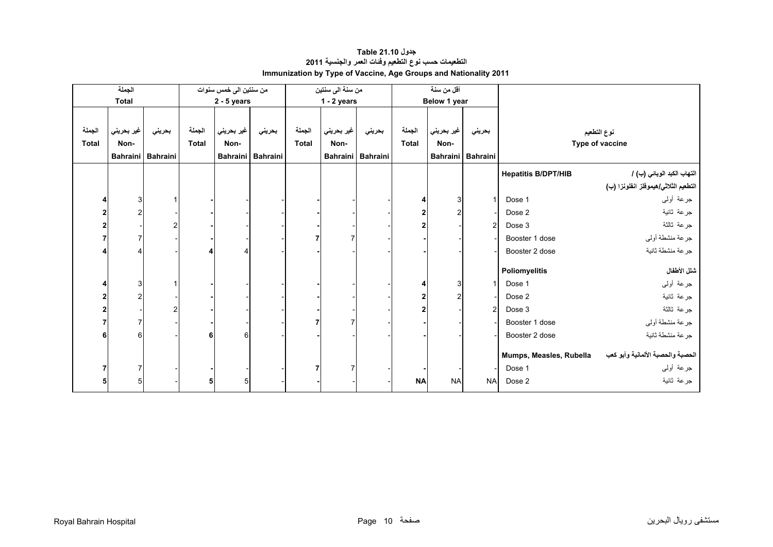<span id="page-8-0"></span>

|              | الجملة                  |                 |              | من سنتين الى خمس سنوات |                   |              | من سنة الى سنتين |                   |                | أقل من سنة     |                   |                            |                                      |
|--------------|-------------------------|-----------------|--------------|------------------------|-------------------|--------------|------------------|-------------------|----------------|----------------|-------------------|----------------------------|--------------------------------------|
|              | <b>Total</b>            |                 |              | $2 - 5$ years          |                   |              | $1 - 2$ years    |                   |                | Below 1 year   |                   |                            |                                      |
|              |                         |                 |              |                        |                   |              |                  |                   |                |                |                   |                            |                                      |
| الجملة       | غير بحريني              | بحريني          | الجملة       | غير بحريني             | بحريني            | الجملة       | غير بحريني       | بحريني            | الجملة         | غير بحريني     | بحريني            |                            | نوع التطعيم                          |
| <b>Total</b> | Non-                    |                 | <b>Total</b> | Non-                   |                   | <b>Total</b> | Non-             |                   | <b>Total</b>   | Non-           |                   |                            | Type of vaccine                      |
|              | <b>Bahraini</b>         | <b>Bahraini</b> |              |                        | Bahraini Bahraini |              |                  | Bahraini Bahraini |                |                | Bahraini Bahraini |                            |                                      |
|              |                         |                 |              |                        |                   |              |                  |                   |                |                |                   | <b>Hepatitis B/DPT/HIB</b> | التهاب الكبد الوبائي (ب) /           |
|              |                         |                 |              |                        |                   |              |                  |                   |                |                |                   |                            | التطعيم الثلاثي/هيموفلز انفلونزا (ب) |
|              | 3                       |                 |              |                        |                   |              |                  |                   |                | 3              |                   | Dose 1                     | جرعة أولىي                           |
| 2            | $\overline{\mathbf{c}}$ |                 |              |                        |                   |              |                  |                   | 2              | $\overline{2}$ |                   | Dose 2                     | جرعة ثانية                           |
|              |                         |                 |              |                        |                   |              |                  |                   | $\overline{2}$ |                | $\overline{2}$    | Dose 3                     | جرعة ثالثة                           |
|              | 7                       |                 |              |                        |                   |              | 7                |                   |                |                |                   | Booster 1 dose             | جرعة منشطة أولىي                     |
|              |                         |                 |              |                        |                   |              |                  |                   |                |                |                   | Booster 2 dose             | جرعة منشطة ثانية                     |
|              |                         |                 |              |                        |                   |              |                  |                   |                |                |                   | Poliomyelitis              | شلل الأطفال                          |
|              | 3                       |                 |              |                        |                   |              |                  |                   |                | 3              |                   | Dose 1                     | جرعة أولىي                           |
|              | $\overline{\mathbf{c}}$ |                 |              |                        |                   |              |                  |                   | 2              | $\overline{2}$ |                   | Dose 2                     | جرعة ثانية                           |
|              |                         |                 |              |                        |                   |              |                  |                   | 2              |                | $\overline{2}$    | Dose 3                     | جرعة ثالثة                           |
|              | 7                       |                 |              |                        |                   |              |                  |                   |                |                |                   | Booster 1 dose             | جرعة منشطة أولىي                     |
|              | 6                       |                 | 6            | 6                      |                   |              |                  |                   |                |                |                   | Booster 2 dose             | جرعة منشطة ثانية                     |
|              |                         |                 |              |                        |                   |              |                  |                   |                |                |                   |                            |                                      |
|              |                         |                 |              |                        |                   |              |                  |                   |                |                |                   | Mumps, Measles, Rubella    | الحصبة والحصبة الألمانية وأبو كعب    |
|              | $\overline{7}$          |                 |              |                        |                   |              |                  |                   |                |                |                   | Dose 1                     | جرعة أولىي                           |
|              | 5                       |                 | 5            |                        |                   |              |                  |                   | <b>NA</b>      | <b>NA</b>      | <b>NA</b>         | Dose 2                     | جرعة ثانية                           |

# **جدول 21.10 Table التطعيمات حسب نوع التطعيم وفئات العمر والجنسية <sup>2011</sup> Immunization by Type of Vaccine, Age Groups and Nationality 2011**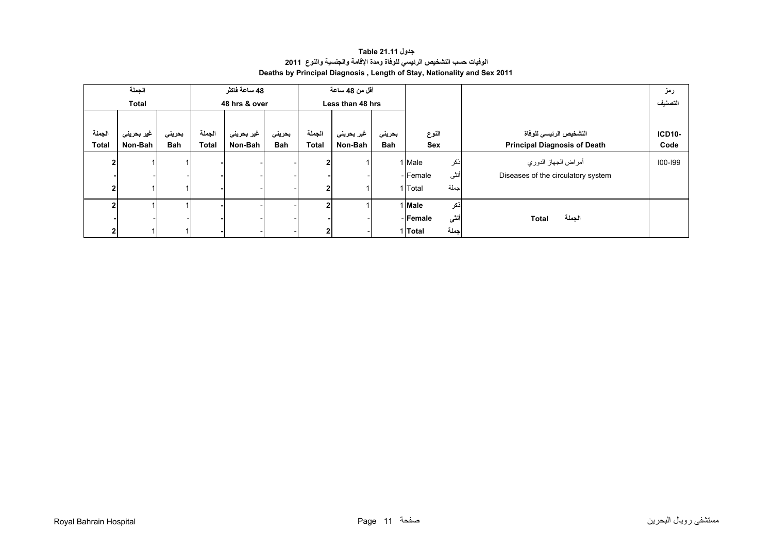# **جدول 21.11 Table الوفيات حسب التشخيص الرئيسي للوفاة ومدة اإلقامة والجنسية والنوع<sup>2011</sup> Deaths by Principal Diagnosis , Length of Stay, Nationality and Sex 2011**

<span id="page-9-0"></span>

|              | الجملة<br><b>Total</b> |            |              | 48 ساعة فاكثر<br>48 hrs & over |            | أقل من 48 ساعة<br>Less than 48 hrs |            |        |                  |                                     | رمز<br>التصنيف |
|--------------|------------------------|------------|--------------|--------------------------------|------------|------------------------------------|------------|--------|------------------|-------------------------------------|----------------|
|              |                        |            |              |                                |            |                                    |            |        |                  |                                     |                |
| الجملة       | غير بحريني             | بحريني     | الجملة       | غير بحريني                     | بحريني     | الجملة                             | غير بحريني | بحريني | النوع            | التشخيص الرئيسي للوفاة              | <b>ICD10-</b>  |
| <b>Total</b> | Non-Bah                | <b>Bah</b> | <b>Total</b> | Non-Bah                        | <b>Bah</b> | <b>Total</b>                       | Non-Bah    | Bah    | Sex              | <b>Principal Diagnosis of Death</b> | Code           |
|              |                        |            |              |                                |            |                                    |            |        | ذكر<br>1 Male    | أمراض الجهاز الدوري                 | 100-199        |
|              |                        |            |              |                                |            |                                    |            |        | أنثى<br>- Female | Diseases of the circulatory system  |                |
|              |                        |            |              |                                |            |                                    |            |        | جملة<br>1 Total  |                                     |                |
|              |                        |            |              |                                |            |                                    |            |        | أذكر<br>1 Male   |                                     |                |
|              |                        |            |              |                                |            |                                    |            |        | أننى<br>- Female | الجملة<br><b>Total</b>              |                |
|              |                        |            |              |                                |            | $\mathbf{2}$                       |            |        | جملة<br>1 Total  |                                     |                |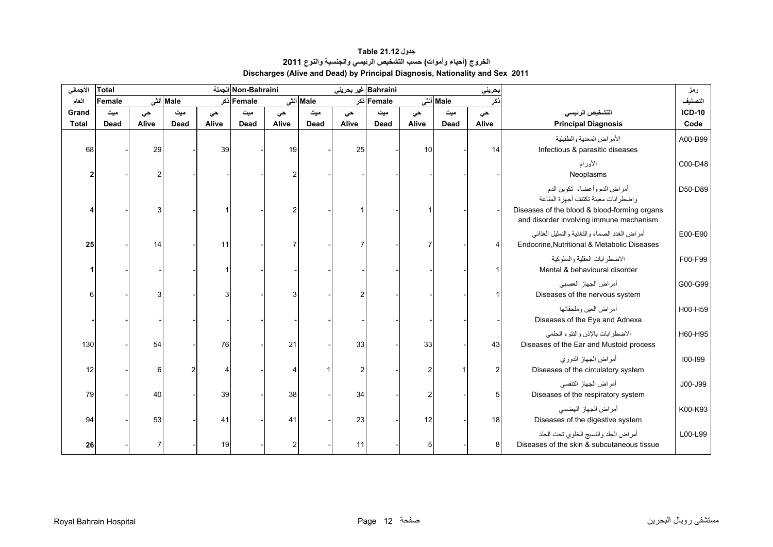# **جدول 21.12 Table الخروج (أحياء وأموات) حسب التشخيص الرئيسي والجنسية والنوع<sup>2011</sup> Discharges (Alive and Dead) by Principal Diagnosis, Nationality and Sex 2011**

<span id="page-10-0"></span>

| الأجمالي     | <b>Total</b> |       |             |       | Non-Bahraini الجملة |                |          | Bahraini غير بحريني |            |       |             | بحريني |                                                                                              | رمز           |
|--------------|--------------|-------|-------------|-------|---------------------|----------------|----------|---------------------|------------|-------|-------------|--------|----------------------------------------------------------------------------------------------|---------------|
| العام        | Female       |       | Male أنشى   |       | Female دکر          |                | Male أنش |                     | Female ذکر |       | Male أنش    | ذكر    |                                                                                              | التصنيف       |
| Grand        | میت          | حي    | میت         | حى    | میت                 | حى             | ميت      | حى                  | میت        | حى    | میت         | حي     | التشخيص الرئيسى                                                                              | <b>ICD-10</b> |
| <b>Total</b> | <b>Dead</b>  | Alive | <b>Dead</b> | Alive | <b>Dead</b>         | Alive          | Dead     | Alive               | Dead       | Alive | <b>Dead</b> | Alive  | <b>Principal Diagnosis</b>                                                                   | Code          |
| 68           |              | 29    |             | 39    |                     | 19             |          | 25                  |            | 10    |             | 14     | الأمراض المعدية والطفيلية<br>Infectious & parasitic diseases                                 | A00-B99       |
|              |              |       |             |       |                     |                |          |                     |            |       |             |        | الأورام<br>Neoplasms                                                                         | C00-D48       |
|              |              |       |             |       |                     |                |          |                     |            |       |             |        | أمراض الدم وأعضاء تكوين الدم<br>واضطرابات معينة تكتنف أجهزة المناعة                          | D50-D89       |
|              |              | 3     |             |       |                     |                |          |                     |            |       |             |        | Diseases of the blood & blood-forming organs<br>and disorder involving immune mechanism      |               |
| 25           |              | 14    |             | 11    |                     |                |          | 7                   |            |       |             |        | أمراض الغدد الصماء والتغذية والتمثيل الغذائبي<br>Endocrine, Nutritional & Metabolic Diseases | E00-E90       |
|              |              |       |             |       |                     |                |          |                     |            |       |             |        | الإضطر ابات العقلبة والسلوكبة<br>Mental & behavioural disorder                               | F00-F99       |
| 6            |              | 3     |             | З     |                     |                |          |                     |            |       |             |        | أمراض الجهاز العصبي<br>Diseases of the nervous system                                        | G00-G99       |
|              |              |       |             |       |                     |                |          |                     |            |       |             |        | أمراض العين وملحقاتها<br>Diseases of the Eye and Adnexa                                      | H00-H59       |
| 130          |              | 54    |             | 76    |                     | 21             |          | 33                  |            | 33    |             | 43     | الاضطرابات بالإذن والنتوء الحلمى<br>Diseases of the Ear and Mustoid process                  | H60-H95       |
| 12           |              | 6     |             |       |                     |                |          | 2                   |            |       |             |        | أمراض الجهاز الدوري<br>Diseases of the circulatory system                                    | 100-199       |
| 79           |              | 40    |             | 39    |                     | 38             |          | 34                  |            |       |             | 5      | أمراض الجهاز التنفسي<br>Diseases of the respiratory system                                   | J00-J99       |
| 94           |              | 53    |             | 41    |                     | 41             |          | 23                  |            | 12    |             | 18     | أمراض الجهاز الهضمى<br>Diseases of the digestive system                                      | K00-K93       |
| 26           |              | 7     |             | 19    |                     | $\overline{2}$ |          | 11                  |            | 5     |             | 8      | أمراض الجلد والنسيج الخلوى تحت الجلد<br>Diseases of the skin & subcutaneous tissue           | L00-L99       |